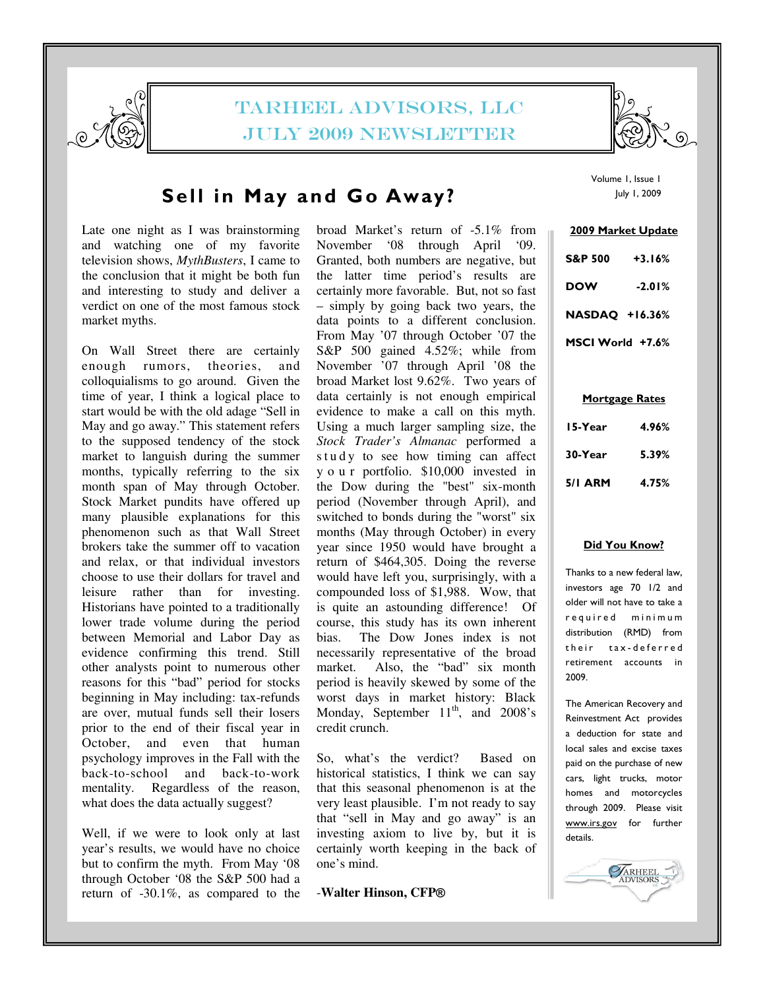

# TARHEEL ADVISORS, LLC July 2009 newsletter



# Sell in May and Go Away?

Late one night as I was brainstorming and watching one of my favorite television shows, *MythBusters*, I came to the conclusion that it might be both fun and interesting to study and deliver a verdict on one of the most famous stock market myths.

On Wall Street there are certainly enough rumors, theories, and colloquialisms to go around. Given the time of year, I think a logical place to start would be with the old adage "Sell in May and go away." This statement refers to the supposed tendency of the stock market to languish during the summer months, typically referring to the six month span of May through October. Stock Market pundits have offered up many plausible explanations for this phenomenon such as that Wall Street brokers take the summer off to vacation and relax, or that individual investors choose to use their dollars for travel and leisure rather than for investing. Historians have pointed to a traditionally lower trade volume during the period between Memorial and Labor Day as evidence confirming this trend. Still other analysts point to numerous other reasons for this "bad" period for stocks beginning in May including: tax-refunds are over, mutual funds sell their losers prior to the end of their fiscal year in October, and even that human psychology improves in the Fall with the back-to-school and back-to-work mentality. Regardless of the reason, what does the data actually suggest?

Well, if we were to look only at last year's results, we would have no choice but to confirm the myth. From May '08 through October '08 the S&P 500 had a return of -30.1%, as compared to the broad Market's return of -5.1% from November '08 through April '09. Granted, both numbers are negative, but the latter time period's results are certainly more favorable. But, not so fast – simply by going back two years, the data points to a different conclusion. From May '07 through October '07 the S&P 500 gained 4.52%; while from November '07 through April '08 the broad Market lost 9.62%. Two years of data certainly is not enough empirical evidence to make a call on this myth. Using a much larger sampling size, the *Stock Trader's Almanac* performed a s t u d y to see how timing can affect y o u r portfolio. \$10,000 invested in the Dow during the "best" six-month period (November through April), and switched to bonds during the "worst" six months (May through October) in every year since 1950 would have brought a return of \$464,305. Doing the reverse would have left you, surprisingly, with a compounded loss of \$1,988. Wow, that is quite an astounding difference! Of course, this study has its own inherent bias. The Dow Jones index is not necessarily representative of the broad market. Also, the "bad" six month period is heavily skewed by some of the worst days in market history: Black Monday, September  $11<sup>th</sup>$ , and  $2008$ 's credit crunch.

So, what's the verdict? Based on historical statistics, I think we can say that this seasonal phenomenon is at the very least plausible. I'm not ready to say that "sell in May and go away" is an investing axiom to live by, but it is certainly worth keeping in the back of one's mind.

## -**Walter Hinson, CFP**®

Volume 1, Issue 1 July 1, 2009

| <b>2009 Market Update</b> |          |
|---------------------------|----------|
| <b>S&amp;P 500</b>        | $+3.16%$ |
| DOW                       | $-2.01%$ |
| <b>NASDAQ +16.36%</b>     |          |
| MSCI World +7.6%          |          |

### Mortgage Rates

| 15-Year        | 4.96% |
|----------------|-------|
| 30-Year        | 5.39% |
| <b>5/1 ARM</b> | 4.75% |

#### Did You Know?

Thanks to a new federal law, investors age 70 1/2 and older will not have to take a r e quired minimum distribution (RMD) from their tax-deferred retirement accounts in 2009.

The American Recovery and Reinvestment Act provides a deduction for state and local sales and excise taxes paid on the purchase of new cars, light trucks, motor homes and motorcycles through 2009. Please visit www.irs.gov for further details.